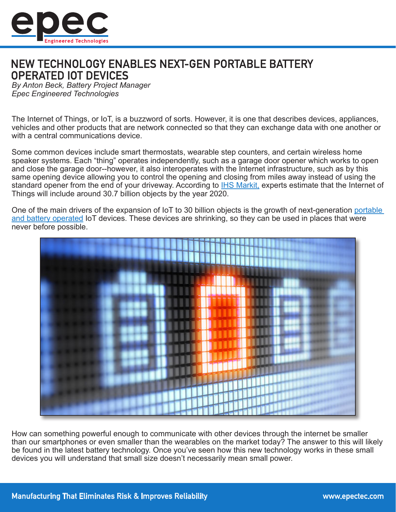

# NEW TECHNOLOGY ENABLES NEXT-GEN PORTABLE BATTERY **OPERATED IOT DEVICES**

*By Anton Beck, Battery Project Manager Epec Engineered Technologies*

The Internet of Things, or IoT, is a buzzword of sorts. However, it is one that describes devices, appliances, vehicles and other products that are network connected so that they can exchange data with one another or with a central communications device.

Some common devices include smart thermostats, wearable step counters, and certain wireless home speaker systems. Each "thing" operates independently, such as a garage door opener which works to open and close the garage door--however, it also interoperates with the Internet infrastructure, such as by this same opening device allowing you to control the opening and closing from miles away instead of using the standard opener from the end of your driveway. According to [IHS Markit,](https://www.forbes.com/sites/louiscolumbus/2016/11/27/roundup-of-internet-of-things-forecasts-and-market-estimates-2016/#474c128d292d) experts estimate that the Internet of Things will include around 30.7 billion objects by the year 2020.

One of the main drivers of the expansion of IoT to 30 billion objects is the growth of next-generation [portable](http://www.epectec.com/batteries/)  [and battery operated](http://www.epectec.com/batteries/) IoT devices. These devices are shrinking, so they can be used in places that were never before possible.



How can something powerful enough to communicate with other devices through the internet be smaller than our smartphones or even smaller than the wearables on the market today? The answer to this will likely be found in the latest battery technology. Once you've seen how this new technology works in these small devices you will understand that small size doesn't necessarily mean small power.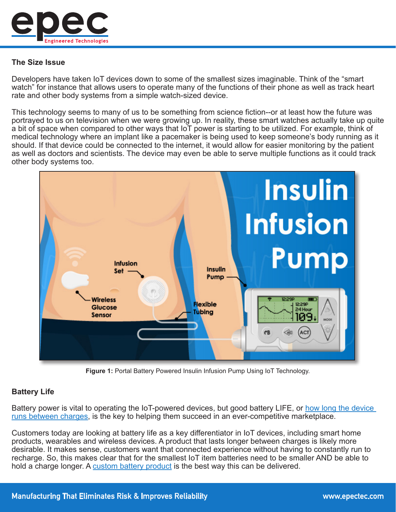

# **The Size Issue**

Developers have taken IoT devices down to some of the smallest sizes imaginable. Think of the "smart watch" for instance that allows users to operate many of the functions of their phone as well as track heart rate and other body systems from a simple watch-sized device.

This technology seems to many of us to be something from science fiction--or at least how the future was portrayed to us on television when we were growing up. In reality, these smart watches actually take up quite a bit of space when compared to other ways that IoT power is starting to be utilized. For example, think of medical technology where an implant like a pacemaker is being used to keep someone's body running as it should. If that device could be connected to the internet, it would allow for easier monitoring by the patient as well as doctors and scientists. The device may even be able to serve multiple functions as it could track other body systems too.



**Figure 1:** Portal Battery Powered Insulin Infusion Pump Using IoT Technology.

# **Battery Life**

Battery power is vital to operating the IoT-powered devices, but good battery LIFE, or how long the device [runs between charges](www.epectec.com/batteries/charging/), is the key to helping them succeed in an ever-competitive marketplace.

Customers today are looking at battery life as a key differentiator in IoT devices, including smart home products, wearables and wireless devices. A product that lasts longer between charges is likely more desirable. It makes sense, customers want that connected experience without having to constantly run to recharge. So, this makes clear that for the smallest IoT item batteries need to be smaller AND be able to hold a charge longer. A [custom battery product](www.epectec.com/batteries/) is the best way this can be delivered.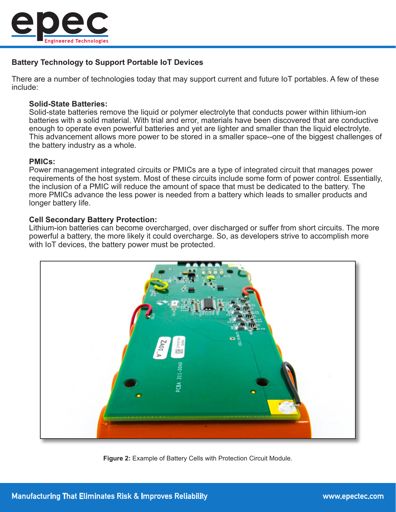

# **Battery Technology to Support Portable IoT Devices**

There are a number of technologies today that may support current and future IoT portables. A few of these include:

#### **Solid-State Batteries:**

Solid-state batteries remove the liquid or polymer electrolyte that conducts power within lithium-ion batteries with a solid material. With trial and error, materials have been discovered that are conductive enough to operate even powerful batteries and yet are lighter and smaller than the liquid electrolyte. This advancement allows more power to be stored in a smaller space--one of the biggest challenges of the battery industry as a whole.

#### **PMICs:**

Power management integrated circuits or PMICs are a type of integrated circuit that manages power requirements of the host system. Most of these circuits include some form of power control. Essentially, the inclusion of a PMIC will reduce the amount of space that must be dedicated to the battery. The more PMICs advance the less power is needed from a battery which leads to smaller products and longer battery life.

#### **Cell Secondary Battery Protection:**

Lithium-ion batteries can become overcharged, over discharged or suffer from short circuits. The more powerful a battery, the more likely it could overcharge. So, as developers strive to accomplish more with IoT devices, the battery power must be protected.



**Figure 2:** Example of Battery Cells with Protection Circuit Module.